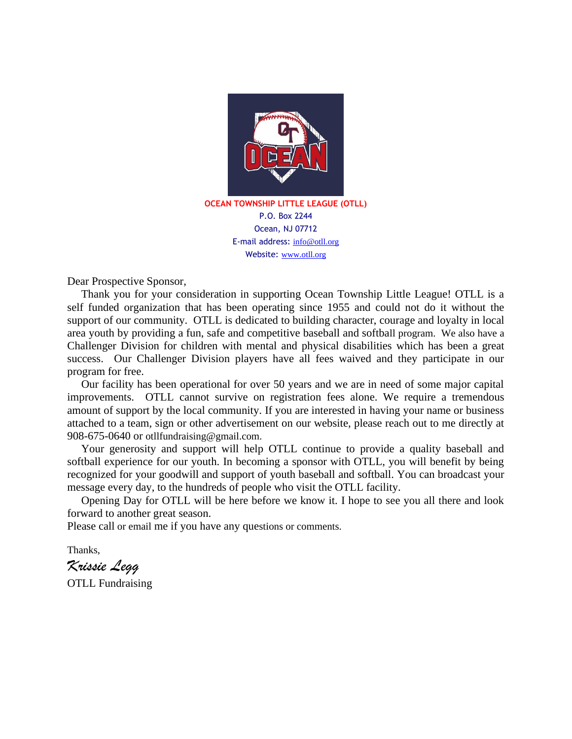

Ocean, NJ 07712 E-mail address: info@otll.org Website: www.otll.org

Dear Prospective Sponsor,

 Thank you for your consideration in supporting Ocean Township Little League! OTLL is a self funded organization that has been operating since 1955 and could not do it without the support of our community. OTLL is dedicated to building character, courage and loyalty in local area youth by providing a fun, safe and competitive baseball and softball program. We also have a Challenger Division for children with mental and physical disabilities which has been a great success. Our Challenger Division players have all fees waived and they participate in our program for free.

 Our facility has been operational for over 50 years and we are in need of some major capital improvements. OTLL cannot survive on registration fees alone. We require a tremendous amount of support by the local community. If you are interested in having your name or business attached to a team, sign or other advertisement on our website, please reach out to me directly at 908-675-0640 or otllfundraising@gmail.com.

 Your generosity and support will help OTLL continue to provide a quality baseball and softball experience for our youth. In becoming a sponsor with OTLL, you will benefit by being recognized for your goodwill and support of youth baseball and softball. You can broadcast your message every day, to the hundreds of people who visit the OTLL facility.

 Opening Day for OTLL will be here before we know it. I hope to see you all there and look forward to another great season.

Please call or email me if you have any questions or comments.

Thanks,

*Krissie Legg*

OTLL Fundraising